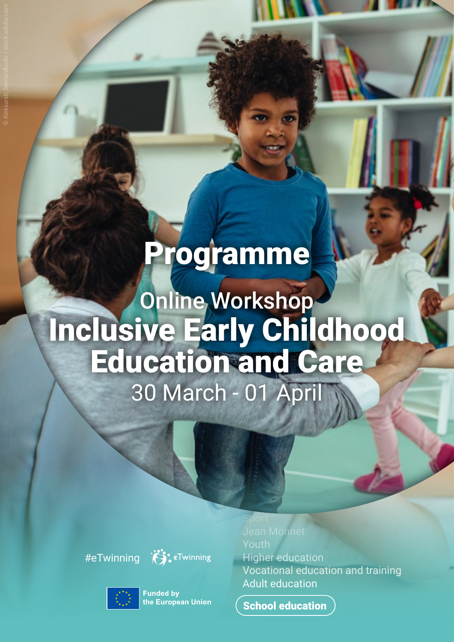## Programme

## Online Workshop Inclusive Early Childhood Education and Care 30 March - 01 April

#eTwinning



**Funded by** the European Union

Sport Jean Monnet Youth Higher education Vocational education and training Adult education

School education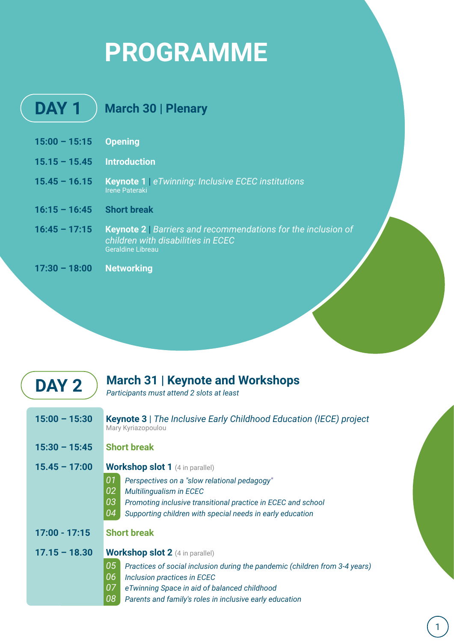## **PROGRAMME**

| DAY <sub>1</sub> | <b>March 30   Plenary</b>                                                                                                       |
|------------------|---------------------------------------------------------------------------------------------------------------------------------|
| $15:00 - 15:15$  | <b>Opening</b>                                                                                                                  |
| $15.15 - 15.45$  | <b>Introduction</b>                                                                                                             |
| $15.45 - 16.15$  | <b>Keynote 1</b> eTwinning: Inclusive ECEC institutions<br><b>Irene Pateraki</b>                                                |
| $16:15 - 16:45$  | <b>Short break</b>                                                                                                              |
| $16:45 - 17:15$  | Keynote 2   Barriers and recommendations for the inclusion of<br>children with disabilities in ECEC<br><b>Geraldine Libreau</b> |
| $17:30 - 18:00$  | <b>Networking</b>                                                                                                               |

| DAY 2           | <b>March 31   Keynote and Workshops</b><br>Participants must attend 2 slots at least                                                                                                                                                                                                    |
|-----------------|-----------------------------------------------------------------------------------------------------------------------------------------------------------------------------------------------------------------------------------------------------------------------------------------|
| $15:00 - 15:30$ | <b>Keynote 3</b>   The Inclusive Early Childhood Education (IECE) project<br>Mary Kyriazopoulou                                                                                                                                                                                         |
| $15:30 - 15:45$ | <b>Short break</b>                                                                                                                                                                                                                                                                      |
| $15.45 - 17:00$ | <b>Workshop slot 1</b> (4 in parallel)<br>01<br>Perspectives on a "slow relational pedagogy"<br>02<br><b>Multilingualism in ECEC</b><br>03<br>Promoting inclusive transitional practice in ECEC and school<br>04<br>Supporting children with special needs in early education           |
| $17:00 - 17:15$ | <b>Short break</b>                                                                                                                                                                                                                                                                      |
| $17.15 - 18.30$ | <b>Workshop slot 2</b> (4 in parallel)<br>05<br>Practices of social inclusion during the pandemic (children from 3-4 years)<br>06<br>Inclusion practices in ECEC<br>07<br>eTwinning Space in aid of balanced childhood<br>08<br>Parents and family's roles in inclusive early education |